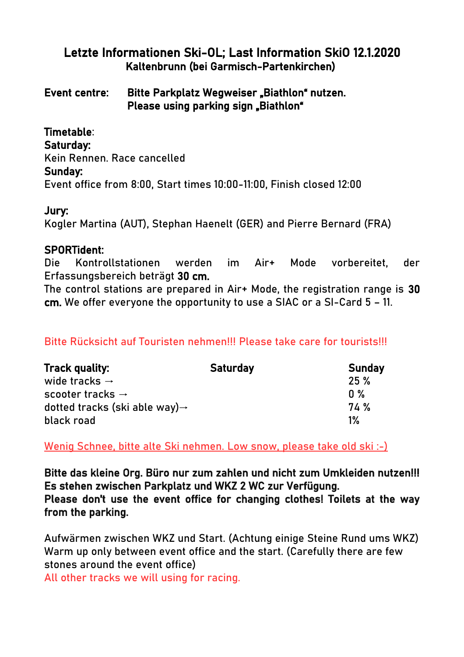## Letzte Informationen Ski-OL; Last Information SkiO 12.1.2020 Kaltenbrunn (bei Garmisch-Partenkirchen)

Event centre: Bitte Parkplatz Wegweiser \_ Biathlon<sup>4</sup> nutzen. Please using parking sign \_Biathlon<sup>\*</sup>

Timetable: Saturday: Kein Rennen. Race cancelled Sunday: Event office from 8:00, Start times 10:00-11:00, Finish closed 12:00

#### Jury:

Kogler Martina (AUT), Stephan Haenelt (GER) and Pierre Bernard (FRA)

### SPORTident:

Die Kontrollstationen werden im Air+ Mode vorbereitet, der Erfassungsbereich beträgt 30 cm.

The control stations are prepared in Air+ Mode, the registration range is 30 cm. We offer everyone the opportunity to use a SIAC or a SI-Card 5 – 11.

## Bitte Rücksicht auf Touristen nehmen!!! Please take care for tourists!!!

| <b>Track quality:</b>                      | <b>Saturday</b> | <b>Sunday</b> |
|--------------------------------------------|-----------------|---------------|
| wide tracks $\rightarrow$                  |                 | 25%           |
| scooter tracks $\rightarrow$               |                 | $0\%$         |
| dotted tracks (ski able way) $\rightarrow$ |                 | 74 %          |
| black road                                 |                 | $1\%$         |

Wenig Schnee, bitte alte Ski nehmen. Low snow, please take old ski :-)

Bitte das kleine Org. Büro nur zum zahlen und nicht zum Umkleiden nutzen!!! Es stehen zwischen Parkplatz und WKZ 2 WC zur Verfügung. Please don't use the event office for changing clothes! Toilets at the way from the parking.

Aufwärmen zwischen WKZ und Start. (Achtung einige Steine Rund ums WKZ) Warm up only between event office and the start. (Carefully there are few stones around the event office)

All other tracks we will using for racing.